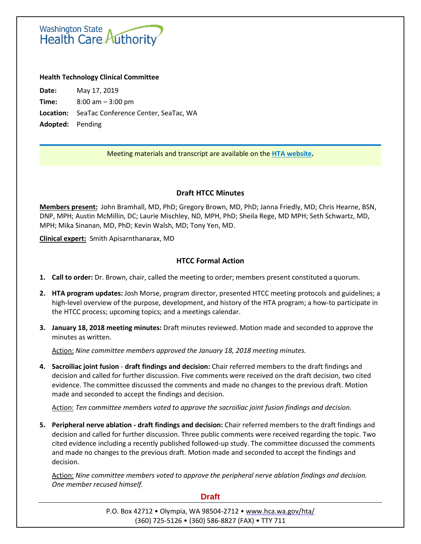Washington State<br>Health Care Authority

#### **Health Technology Clinical Committee**

**Date:** May 17, 2019 **Time:** 8:00 am – 3:00 pm **Location:** SeaTac Conference Center, SeaTac, WA **Adopted:** Pending

## Meeting materials and transcript are available on the **[HTA website.](http://www.hca.wa.gov/about-hca/health-technology-assessment/meetings-and-materials)**

## **Draft HTCC Minutes**

**Members present:** John Bramhall, MD, PhD; Gregory Brown, MD, PhD; Janna Friedly, MD; Chris Hearne, BSN, DNP, MPH; Austin McMillin, DC; Laurie Mischley, ND, MPH, PhD; Sheila Rege, MD MPH; Seth Schwartz, MD, MPH; Mika Sinanan, MD, PhD; Kevin Walsh, MD; Tony Yen, MD.

**Clinical expert:** Smith Apisarnthanarax, MD

## **HTCC Formal Action**

- **1. Call to order:** Dr. Brown, chair, called the meeting to order; members present constituted a quorum.
- **2. HTA program updates:** Josh Morse, program director, presented HTCC meeting protocols and guidelines; a high-level overview of the purpose, development, and history of the HTA program; a how-to participate in the HTCC process; upcoming topics; and a meetings calendar.
- **3. January 18, 2018 meeting minutes:** Draft minutes reviewed. Motion made and seconded to approve the minutes as written.

Action: *Nine committee members approved the January 18, 2018 meeting minutes.*

**4. Sacroiliac joint fusion** - **draft findings and decision:** Chair referred members to the draft findings and decision and called for further discussion. Five comments were received on the draft decision, two cited evidence. The committee discussed the comments and made no changes to the previous draft. Motion made and seconded to accept the findings and decision.

Action: *Ten committee members voted to approve the sacroiliac joint fusion findings and decision.*

**5. Peripheral nerve ablation - draft findings and decision:** Chair referred members to the draft findings and decision and called for further discussion. Three public comments were received regarding the topic. Two cited evidence including a recently published followed-up study. The committee discussed the comments and made no changes to the previous draft. Motion made and seconded to accept the findings and decision.

Action: *Nine committee members voted to approve the peripheral nerve ablation findings and decision. One member recused himself.*

#### **Draft**

P.O. Box 42712 • Olympia, WA 98504-2712 • [www.hca.wa.gov/hta/](http://www.hca.wa.gov/hta/) (360) 725-5126 • (360) 586-8827 (FAX) • TTY 711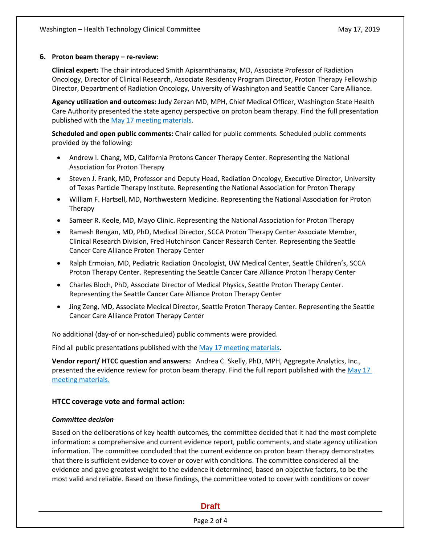## **6. Proton beam therapy – re-review:**

**Clinical expert:** The chair introduced Smith Apisarnthanarax, MD, Associate Professor of Radiation Oncology, Director of Clinical Research, Associate Residency Program Director, Proton Therapy Fellowship Director, Department of Radiation Oncology, University of Washington and Seattle Cancer Care Alliance.

**Agency utilization and outcomes:** Judy Zerzan MD, MPH, Chief Medical Officer, Washington State Health Care Authority presented the state agency perspective on proton beam therapy. Find the full presentation published with the May 17 [meeting materials.](http://www.hca.wa.gov/about-hca/health-technology-assessment/meetings-and-materials)

**Scheduled and open public comments:** Chair called for public comments. Scheduled public comments provided by the following:

- Andrew l. Chang, MD, California Protons Cancer Therapy Center. Representing the National Association for Proton Therapy
- Steven J. Frank, MD, Professor and Deputy Head, Radiation Oncology, Executive Director, University of Texas Particle Therapy Institute. Representing the National Association for Proton Therapy
- William F. Hartsell, MD, Northwestern Medicine. Representing the National Association for Proton Therapy
- Sameer R. Keole, MD, Mayo Clinic. Representing the National Association for Proton Therapy
- Ramesh Rengan, MD, PhD, Medical Director, SCCA Proton Therapy Center Associate Member, Clinical Research Division, Fred Hutchinson Cancer Research Center. Representing the Seattle Cancer Care Alliance Proton Therapy Center
- Ralph Ermoian, MD, Pediatric Radiation Oncologist, UW Medical Center, Seattle Children's, SCCA Proton Therapy Center. Representing the Seattle Cancer Care Alliance Proton Therapy Center
- Charles Bloch, PhD, Associate Director of Medical Physics, Seattle Proton Therapy Center. Representing the Seattle Cancer Care Alliance Proton Therapy Center
- Jing Zeng, MD, Associate Medical Director, Seattle Proton Therapy Center. Representing the Seattle Cancer Care Alliance Proton Therapy Center

No additional (day-of or non-scheduled) public comments were provided.

Find all public presentations published with the May 17 [meeting materials.](http://www.hca.wa.gov/about-hca/health-technology-assessment/meetings-and-materials)

**Vendor report/ HTCC question and answers:** Andrea C. Skelly, PhD, MPH, Aggregate Analytics, Inc., presented the evidence review for proton beam therapy. Find the full report published with th[e May 17](http://www.hca.wa.gov/about-hca/health-technology-assessment/meetings-and-materials) [meeting materials.](http://www.hca.wa.gov/about-hca/health-technology-assessment/meetings-and-materials)

## **HTCC coverage vote and formal action:**

## *Committee decision*

Based on the deliberations of key health outcomes, the committee decided that it had the most complete information: a comprehensive and current evidence report, public comments, and state agency utilization information. The committee concluded that the current evidence on proton beam therapy demonstrates that there is sufficient evidence to cover or cover with conditions. The committee considered all the evidence and gave greatest weight to the evidence it determined, based on objective factors, to be the most valid and reliable. Based on these findings, the committee voted to cover with conditions or cover

## **Draft**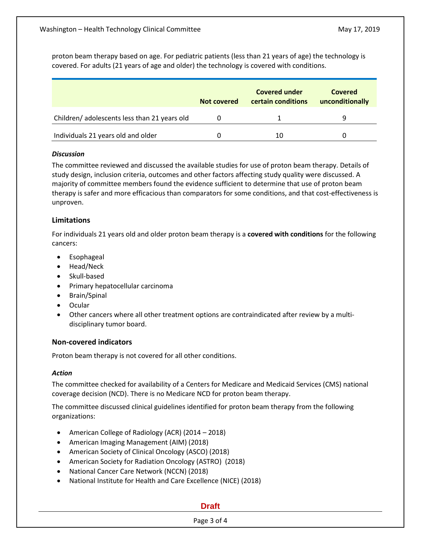proton beam therapy based on age. For pediatric patients (less than 21 years of age) the technology is covered. For adults (21 years of age and older) the technology is covered with conditions.

|                                             | Not covered | <b>Covered under</b><br>certain conditions | Covered<br>unconditionally |
|---------------------------------------------|-------------|--------------------------------------------|----------------------------|
| Children/adolescents less than 21 years old |             |                                            |                            |
| Individuals 21 years old and older          |             | 10                                         |                            |

## *Discussion*

The committee reviewed and discussed the available studies for use of proton beam therapy. Details of study design, inclusion criteria, outcomes and other factors affecting study quality were discussed. A majority of committee members found the evidence sufficient to determine that use of proton beam therapy is safer and more efficacious than comparators for some conditions, and that cost-effectiveness is unproven.

## **Limitations**

For individuals 21 years old and older proton beam therapy is a **covered with conditions** for the following cancers:

- **•** Esophageal
- Head/Neck
- Skull-based
- Primary hepatocellular carcinoma
- Brain/Spinal
- **Ocular**
- Other cancers where all other treatment options are contraindicated after review by a multidisciplinary tumor board.

## **Non-covered indicators**

Proton beam therapy is not covered for all other conditions.

#### *Action*

The committee checked for availability of a Centers for Medicare and Medicaid Services (CMS) national coverage decision (NCD). There is no Medicare NCD for proton beam therapy.

The committee discussed clinical guidelines identified for proton beam therapy from the following organizations:

- American College of Radiology (ACR) (2014 2018)
- American Imaging Management (AIM) (2018)
- American Society of Clinical Oncology (ASCO) (2018)
- American Society for Radiation Oncology (ASTRO) (2018)
- National Cancer Care Network (NCCN) (2018)
- National Institute for Health and Care Excellence (NICE) (2018)

## **Draft**

## Page 3 of 4